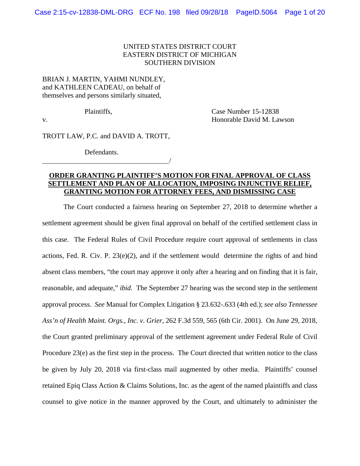## UNITED STATES DISTRICT COURT EASTERN DISTRICT OF MICHIGAN SOUTHERN DIVISION

## BRIAN J. MARTIN, YAHMI NUNDLEY, and KATHLEEN CADEAU, on behalf of themselves and persons similarly situated,

Plaintiffs, Case Number 15-12838 v. Honorable David M. Lawson

TROTT LAW, P.C. and DAVID A. TROTT,

/

Defendants.

# **ORDER GRANTING PLAINTIFF'S MOTION FOR FINAL APPROVAL OF CLASS SETTLEMENT AND PLAN OF ALLOCATION, IMPOSING INJUNCTIVE RELIEF, GRANTING MOTION FOR ATTORNEY FEES, AND DISMISSING CASE**

 The Court conducted a fairness hearing on September 27, 2018 to determine whether a settlement agreement should be given final approval on behalf of the certified settlement class in this case. The Federal Rules of Civil Procedure require court approval of settlements in class actions, Fed. R. Civ. P. 23(e)(2), and if the settlement would determine the rights of and bind absent class members, "the court may approve it only after a hearing and on finding that it is fair, reasonable, and adequate," *ibid.* The September 27 hearing was the second step in the settlement approval process. *See* Manual for Complex Litigation § 23.632-.633 (4th ed.); *see also Tennessee Ass'n of Health Maint. Orgs., Inc. v. Grier*, 262 F.3d 559, 565 (6th Cir. 2001). On June 29, 2018, the Court granted preliminary approval of the settlement agreement under Federal Rule of Civil Procedure 23(e) as the first step in the process. The Court directed that written notice to the class be given by July 20, 2018 via first-class mail augmented by other media. Plaintiffs' counsel retained Epiq Class Action & Claims Solutions, Inc. as the agent of the named plaintiffs and class counsel to give notice in the manner approved by the Court, and ultimately to administer the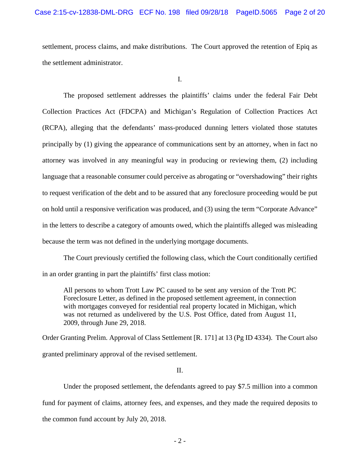settlement, process claims, and make distributions. The Court approved the retention of Epiq as the settlement administrator.

I.

 The proposed settlement addresses the plaintiffs' claims under the federal Fair Debt Collection Practices Act (FDCPA) and Michigan's Regulation of Collection Practices Act (RCPA), alleging that the defendants' mass-produced dunning letters violated those statutes principally by (1) giving the appearance of communications sent by an attorney, when in fact no attorney was involved in any meaningful way in producing or reviewing them, (2) including language that a reasonable consumer could perceive as abrogating or "overshadowing" their rights to request verification of the debt and to be assured that any foreclosure proceeding would be put on hold until a responsive verification was produced, and (3) using the term "Corporate Advance" in the letters to describe a category of amounts owed, which the plaintiffs alleged was misleading because the term was not defined in the underlying mortgage documents.

 The Court previously certified the following class, which the Court conditionally certified in an order granting in part the plaintiffs' first class motion:

All persons to whom Trott Law PC caused to be sent any version of the Trott PC Foreclosure Letter, as defined in the proposed settlement agreement, in connection with mortgages conveyed for residential real property located in Michigan, which was not returned as undelivered by the U.S. Post Office, dated from August 11, 2009, through June 29, 2018.

Order Granting Prelim. Approval of Class Settlement [R. 171] at 13 (Pg ID 4334). The Court also granted preliminary approval of the revised settlement.

II.

 Under the proposed settlement, the defendants agreed to pay \$7.5 million into a common fund for payment of claims, attorney fees, and expenses, and they made the required deposits to the common fund account by July 20, 2018.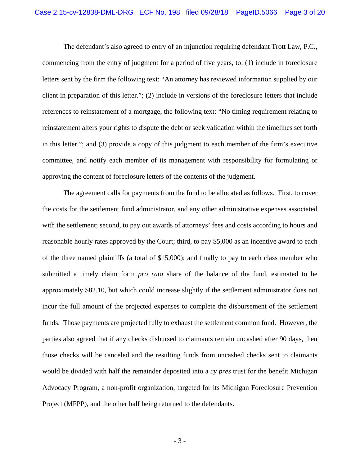The defendant's also agreed to entry of an injunction requiring defendant Trott Law, P.C., commencing from the entry of judgment for a period of five years, to: (1) include in foreclosure letters sent by the firm the following text: "An attorney has reviewed information supplied by our client in preparation of this letter."; (2) include in versions of the foreclosure letters that include references to reinstatement of a mortgage, the following text: "No timing requirement relating to reinstatement alters your rights to dispute the debt or seek validation within the timelines set forth in this letter."; and (3) provide a copy of this judgment to each member of the firm's executive committee, and notify each member of its management with responsibility for formulating or approving the content of foreclosure letters of the contents of the judgment.

 The agreement calls for payments from the fund to be allocated as follows. First, to cover the costs for the settlement fund administrator, and any other administrative expenses associated with the settlement; second, to pay out awards of attorneys' fees and costs according to hours and reasonable hourly rates approved by the Court; third, to pay \$5,000 as an incentive award to each of the three named plaintiffs (a total of \$15,000); and finally to pay to each class member who submitted a timely claim form *pro rata* share of the balance of the fund, estimated to be approximately \$82.10, but which could increase slightly if the settlement administrator does not incur the full amount of the projected expenses to complete the disbursement of the settlement funds. Those payments are projected fully to exhaust the settlement common fund. However, the parties also agreed that if any checks disbursed to claimants remain uncashed after 90 days, then those checks will be canceled and the resulting funds from uncashed checks sent to claimants would be divided with half the remainder deposited into a *cy pres* trust for the benefit Michigan Advocacy Program, a non-profit organization, targeted for its Michigan Foreclosure Prevention Project (MFPP), and the other half being returned to the defendants.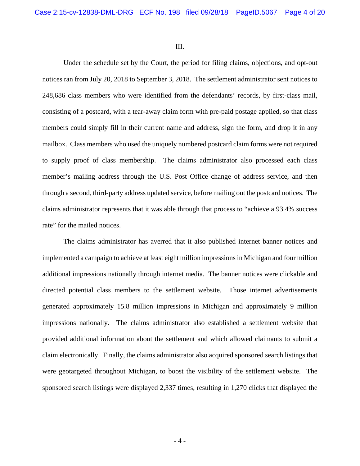III.

 Under the schedule set by the Court, the period for filing claims, objections, and opt-out notices ran from July 20, 2018 to September 3, 2018. The settlement administrator sent notices to 248,686 class members who were identified from the defendants' records, by first-class mail, consisting of a postcard, with a tear-away claim form with pre-paid postage applied, so that class members could simply fill in their current name and address, sign the form, and drop it in any mailbox. Class members who used the uniquely numbered postcard claim forms were not required to supply proof of class membership. The claims administrator also processed each class member's mailing address through the U.S. Post Office change of address service, and then through a second, third-party address updated service, before mailing out the postcard notices. The claims administrator represents that it was able through that process to "achieve a 93.4% success rate" for the mailed notices.

 The claims administrator has averred that it also published internet banner notices and implemented a campaign to achieve at least eight million impressions in Michigan and four million additional impressions nationally through internet media. The banner notices were clickable and directed potential class members to the settlement website. Those internet advertisements generated approximately 15.8 million impressions in Michigan and approximately 9 million impressions nationally. The claims administrator also established a settlement website that provided additional information about the settlement and which allowed claimants to submit a claim electronically. Finally, the claims administrator also acquired sponsored search listings that were geotargeted throughout Michigan, to boost the visibility of the settlement website. The sponsored search listings were displayed 2,337 times, resulting in 1,270 clicks that displayed the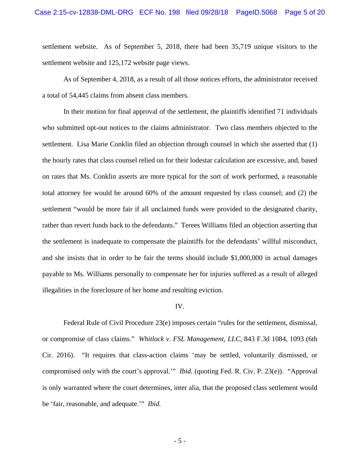settlement website. As of September 5, 2018, there had been 35,719 unique visitors to the settlement website and 125,172 website page views.

 As of September 4, 2018, as a result of all those notices efforts, the administrator received a total of 54,445 claims from absent class members.

 In their motion for final approval of the settlement, the plaintiffs identified 71 individuals who submitted opt-out notices to the claims administrator. Two class members objected to the settlement. Lisa Marie Conklin filed an objection through counsel in which she asserted that (1) the hourly rates that class counsel relied on for their lodestar calculation are excessive, and, based on rates that Ms. Conklin asserts are more typical for the sort of work performed, a reasonable total attorney fee would be around 60% of the amount requested by class counsel; and (2) the settlement "would be more fair if all unclaimed funds were provided to the designated charity, rather than revert funds back to the defendants." Terees Williams filed an objection asserting that the settlement is inadequate to compensate the plaintiffs for the defendants' willful misconduct, and she insists that in order to be fair the terms should include \$1,000,000 in actual damages payable to Ms. Williams personally to compensate her for injuries suffered as a result of alleged illegalities in the foreclosure of her home and resulting eviction.

#### IV.

 Federal Rule of Civil Procedure 23(e) imposes certain "rules for the settlement, dismissal, or compromise of class claims." *Whitlock v. FSL Management, LLC*, 843 F.3d 1084, 1093 (6th Cir. 2016). "It requires that class-action claims 'may be settled, voluntarily dismissed, or compromised only with the court's approval.'" *Ibid.* (quoting Fed. R. Civ. P. 23(e)). "Approval is only warranted where the court determines, inter alia, that the proposed class settlement would be 'fair, reasonable, and adequate.'" *Ibid.*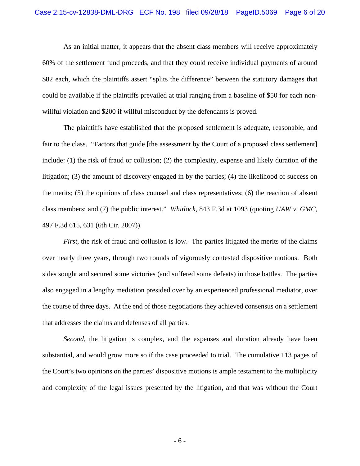As an initial matter, it appears that the absent class members will receive approximately 60% of the settlement fund proceeds, and that they could receive individual payments of around \$82 each, which the plaintiffs assert "splits the difference" between the statutory damages that could be available if the plaintiffs prevailed at trial ranging from a baseline of \$50 for each nonwillful violation and \$200 if willful misconduct by the defendants is proved.

 The plaintiffs have established that the proposed settlement is adequate, reasonable, and fair to the class. "Factors that guide [the assessment by the Court of a proposed class settlement] include: (1) the risk of fraud or collusion; (2) the complexity, expense and likely duration of the litigation; (3) the amount of discovery engaged in by the parties; (4) the likelihood of success on the merits; (5) the opinions of class counsel and class representatives; (6) the reaction of absent class members; and (7) the public interest." *Whitlock*, 843 F.3d at 1093 (quoting *UAW v. GMC*, 497 F.3d 615, 631 (6th Cir. 2007)).

 *First*, the risk of fraud and collusion is low. The parties litigated the merits of the claims over nearly three years, through two rounds of vigorously contested dispositive motions. Both sides sought and secured some victories (and suffered some defeats) in those battles. The parties also engaged in a lengthy mediation presided over by an experienced professional mediator, over the course of three days. At the end of those negotiations they achieved consensus on a settlement that addresses the claims and defenses of all parties.

 *Second*, the litigation is complex, and the expenses and duration already have been substantial, and would grow more so if the case proceeded to trial. The cumulative 113 pages of the Court's two opinions on the parties' dispositive motions is ample testament to the multiplicity and complexity of the legal issues presented by the litigation, and that was without the Court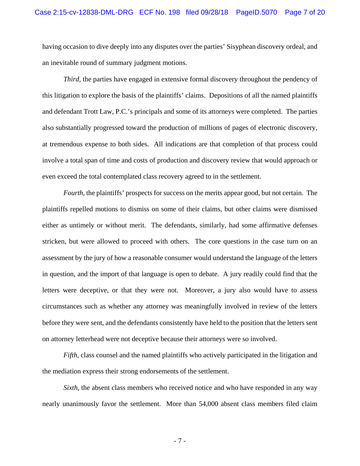having occasion to dive deeply into any disputes over the parties' Sisyphean discovery ordeal, and an inevitable round of summary judgment motions.

 *Third*, the parties have engaged in extensive formal discovery throughout the pendency of this litigation to explore the basis of the plaintiffs' claims. Depositions of all the named plaintiffs and defendant Trott Law, P.C.'s principals and some of its attorneys were completed. The parties also substantially progressed toward the production of millions of pages of electronic discovery, at tremendous expense to both sides. All indications are that completion of that process could involve a total span of time and costs of production and discovery review that would approach or even exceed the total contemplated class recovery agreed to in the settlement.

 *Fourth*, the plaintiffs' prospects for success on the merits appear good, but not certain. The plaintiffs repelled motions to dismiss on some of their claims, but other claims were dismissed either as untimely or without merit. The defendants, similarly, had some affirmative defenses stricken, but were allowed to proceed with others. The core questions in the case turn on an assessment by the jury of how a reasonable consumer would understand the language of the letters in question, and the import of that language is open to debate. A jury readily could find that the letters were deceptive, or that they were not. Moreover, a jury also would have to assess circumstances such as whether any attorney was meaningfully involved in review of the letters before they were sent, and the defendants consistently have held to the position that the letters sent on attorney letterhead were not deceptive because their attorneys were so involved.

 *Fifth*, class counsel and the named plaintiffs who actively participated in the litigation and the mediation express their strong endorsements of the settlement.

 *Sixth*, the absent class members who received notice and who have responded in any way nearly unanimously favor the settlement. More than 54,000 absent class members filed claim

- 7 -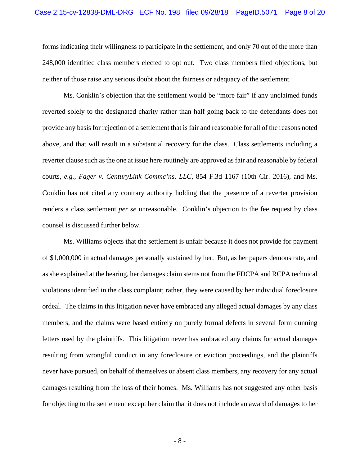forms indicating their willingness to participate in the settlement, and only 70 out of the more than 248,000 identified class members elected to opt out. Two class members filed objections, but neither of those raise any serious doubt about the fairness or adequacy of the settlement.

 Ms. Conklin's objection that the settlement would be "more fair" if any unclaimed funds reverted solely to the designated charity rather than half going back to the defendants does not provide any basis for rejection of a settlement that is fair and reasonable for all of the reasons noted above, and that will result in a substantial recovery for the class. Class settlements including a reverter clause such as the one at issue here routinely are approved as fair and reasonable by federal courts, *e.g.*, *Fager v. CenturyLink Commc'ns, LLC*, 854 F.3d 1167 (10th Cir. 2016), and Ms. Conklin has not cited any contrary authority holding that the presence of a reverter provision renders a class settlement *per se* unreasonable. Conklin's objection to the fee request by class counsel is discussed further below.

 Ms. Williams objects that the settlement is unfair because it does not provide for payment of \$1,000,000 in actual damages personally sustained by her. But, as her papers demonstrate, and as she explained at the hearing, her damages claim stems not from the FDCPA and RCPA technical violations identified in the class complaint; rather, they were caused by her individual foreclosure ordeal. The claims in this litigation never have embraced any alleged actual damages by any class members, and the claims were based entirely on purely formal defects in several form dunning letters used by the plaintiffs. This litigation never has embraced any claims for actual damages resulting from wrongful conduct in any foreclosure or eviction proceedings, and the plaintiffs never have pursued, on behalf of themselves or absent class members, any recovery for any actual damages resulting from the loss of their homes. Ms. Williams has not suggested any other basis for objecting to the settlement except her claim that it does not include an award of damages to her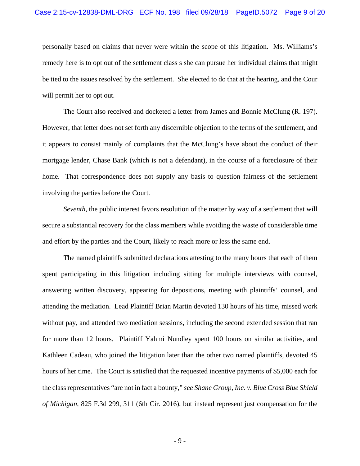personally based on claims that never were within the scope of this litigation. Ms. Williams's remedy here is to opt out of the settlement class s she can pursue her individual claims that might be tied to the issues resolved by the settlement. She elected to do that at the hearing, and the Cour will permit her to opt out.

 The Court also received and docketed a letter from James and Bonnie McClung (R. 197). However, that letter does not set forth any discernible objection to the terms of the settlement, and it appears to consist mainly of complaints that the McClung's have about the conduct of their mortgage lender, Chase Bank (which is not a defendant), in the course of a foreclosure of their home. That correspondence does not supply any basis to question fairness of the settlement involving the parties before the Court.

 *Seventh*, the public interest favors resolution of the matter by way of a settlement that will secure a substantial recovery for the class members while avoiding the waste of considerable time and effort by the parties and the Court, likely to reach more or less the same end.

 The named plaintiffs submitted declarations attesting to the many hours that each of them spent participating in this litigation including sitting for multiple interviews with counsel, answering written discovery, appearing for depositions, meeting with plaintiffs' counsel, and attending the mediation. Lead Plaintiff Brian Martin devoted 130 hours of his time, missed work without pay, and attended two mediation sessions, including the second extended session that ran for more than 12 hours. Plaintiff Yahmi Nundley spent 100 hours on similar activities, and Kathleen Cadeau, who joined the litigation later than the other two named plaintiffs, devoted 45 hours of her time. The Court is satisfied that the requested incentive payments of \$5,000 each for the class representatives "are not in fact a bounty," *see Shane Group, Inc. v. Blue Cross Blue Shield of Michigan*, 825 F.3d 299, 311 (6th Cir. 2016), but instead represent just compensation for the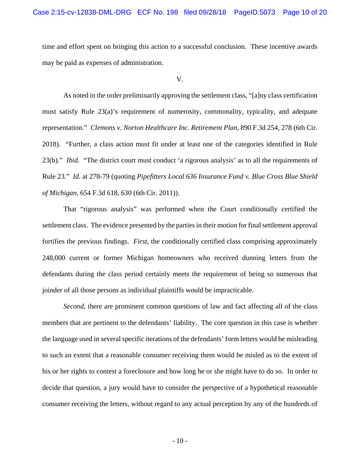time and effort spent on bringing this action to a successful conclusion. These incentive awards may be paid as expenses of administration.

V.

 As noted in the order preliminarily approving the settlement class, "[a]ny class certification must satisfy Rule 23(a)'s requirement of numerosity, commonality, typicality, and adequate representation." *Clemons v. Norton Healthcare Inc. Retirement Plan*, 890 F.3d 254, 278 (6th Cir. 2018). "Further, a class action must fit under at least one of the categories identified in Rule 23(b)." *Ibid.* "The district court must conduct 'a rigorous analysis' as to all the requirements of Rule 23." *Id.* at 278-79 (quoting *Pipefitters Local 636 Insurance Fund v. Blue Cross Blue Shield of Michigan*, 654 F.3d 618, 630 (6th Cir. 2011)).

 That "rigorous analysis" was performed when the Court conditionally certified the settlement class. The evidence presented by the parties in their motion for final settlement approval fortifies the previous findings. *First*, the conditionally certified class comprising approximately 248,000 current or former Michigan homeowners who received dunning letters from the defendants during the class period certainly meets the requirement of being so numerous that joinder of all those persons as individual plaintiffs would be impracticable.

 *Second*, there are prominent common questions of law and fact affecting all of the class members that are pertinent to the defendants' liability. The core question in this case is whether the language used in several specific iterations of the defendants' form letters would be misleading to such an extent that a reasonable consumer receiving them would be misled as to the extent of his or her rights to contest a foreclosure and how long he or she might have to do so. In order to decide that question, a jury would have to consider the perspective of a hypothetical reasonable consumer receiving the letters, without regard to any actual perception by any of the hundreds of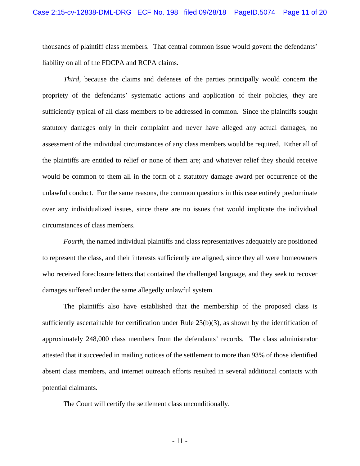thousands of plaintiff class members. That central common issue would govern the defendants' liability on all of the FDCPA and RCPA claims.

 *Third*, because the claims and defenses of the parties principally would concern the propriety of the defendants' systematic actions and application of their policies, they are sufficiently typical of all class members to be addressed in common. Since the plaintiffs sought statutory damages only in their complaint and never have alleged any actual damages, no assessment of the individual circumstances of any class members would be required. Either all of the plaintiffs are entitled to relief or none of them are; and whatever relief they should receive would be common to them all in the form of a statutory damage award per occurrence of the unlawful conduct. For the same reasons, the common questions in this case entirely predominate over any individualized issues, since there are no issues that would implicate the individual circumstances of class members.

 *Fourth*, the named individual plaintiffs and class representatives adequately are positioned to represent the class, and their interests sufficiently are aligned, since they all were homeowners who received foreclosure letters that contained the challenged language, and they seek to recover damages suffered under the same allegedly unlawful system.

 The plaintiffs also have established that the membership of the proposed class is sufficiently ascertainable for certification under Rule 23(b)(3), as shown by the identification of approximately 248,000 class members from the defendants' records. The class administrator attested that it succeeded in mailing notices of the settlement to more than 93% of those identified absent class members, and internet outreach efforts resulted in several additional contacts with potential claimants.

The Court will certify the settlement class unconditionally.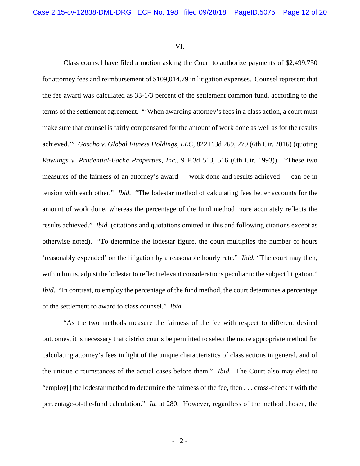VI.

 Class counsel have filed a motion asking the Court to authorize payments of \$2,499,750 for attorney fees and reimbursement of \$109,014.79 in litigation expenses. Counsel represent that the fee award was calculated as 33-1/3 percent of the settlement common fund, according to the terms of the settlement agreement. "'When awarding attorney's fees in a class action, a court must make sure that counsel is fairly compensated for the amount of work done as well as for the results achieved.'" *Gascho v. Global Fitness Holdings, LLC*, 822 F.3d 269, 279 (6th Cir. 2016) (quoting *Rawlings v. Prudential-Bache Properties, Inc.*, 9 F.3d 513, 516 (6th Cir. 1993)). "These two measures of the fairness of an attorney's award — work done and results achieved — can be in tension with each other." *Ibid.* "The lodestar method of calculating fees better accounts for the amount of work done, whereas the percentage of the fund method more accurately reflects the results achieved." *Ibid.* (citations and quotations omitted in this and following citations except as otherwise noted). "To determine the lodestar figure, the court multiplies the number of hours 'reasonably expended' on the litigation by a reasonable hourly rate." *Ibid.* "The court may then, within limits, adjust the lodestar to reflect relevant considerations peculiar to the subject litigation." *Ibid.* "In contrast, to employ the percentage of the fund method, the court determines a percentage of the settlement to award to class counsel." *Ibid.*

 "As the two methods measure the fairness of the fee with respect to different desired outcomes, it is necessary that district courts be permitted to select the more appropriate method for calculating attorney's fees in light of the unique characteristics of class actions in general, and of the unique circumstances of the actual cases before them." *Ibid.* The Court also may elect to "employ[] the lodestar method to determine the fairness of the fee, then . . . cross-check it with the percentage-of-the-fund calculation." *Id.* at 280. However, regardless of the method chosen, the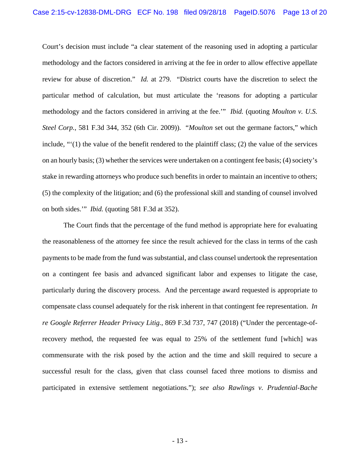Court's decision must include "a clear statement of the reasoning used in adopting a particular methodology and the factors considered in arriving at the fee in order to allow effective appellate review for abuse of discretion." *Id.* at 279. "District courts have the discretion to select the particular method of calculation, but must articulate the 'reasons for adopting a particular methodology and the factors considered in arriving at the fee.'" *Ibid.* (quoting *Moulton v. U.S. Steel Corp.*, 581 F.3d 344, 352 (6th Cir. 2009)). "*Moulton* set out the germane factors," which include, "'(1) the value of the benefit rendered to the plaintiff class; (2) the value of the services on an hourly basis; (3) whether the services were undertaken on a contingent fee basis; (4) society's stake in rewarding attorneys who produce such benefits in order to maintain an incentive to others; (5) the complexity of the litigation; and (6) the professional skill and standing of counsel involved on both sides.'" *Ibid.* (quoting 581 F.3d at 352).

 The Court finds that the percentage of the fund method is appropriate here for evaluating the reasonableness of the attorney fee since the result achieved for the class in terms of the cash payments to be made from the fund was substantial, and class counsel undertook the representation on a contingent fee basis and advanced significant labor and expenses to litigate the case, particularly during the discovery process. And the percentage award requested is appropriate to compensate class counsel adequately for the risk inherent in that contingent fee representation. *In re Google Referrer Header Privacy Litig.*, 869 F.3d 737, 747 (2018) ("Under the percentage-ofrecovery method, the requested fee was equal to 25% of the settlement fund [which] was commensurate with the risk posed by the action and the time and skill required to secure a successful result for the class, given that class counsel faced three motions to dismiss and participated in extensive settlement negotiations."); *see also Rawlings v. Prudential-Bache*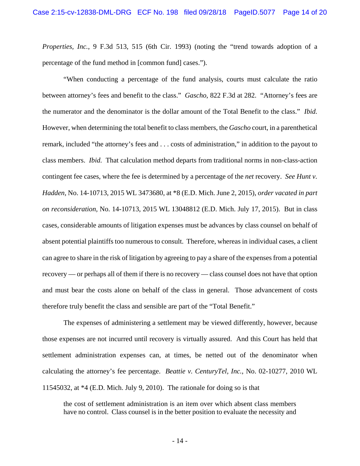*Properties, Inc.*, 9 F.3d 513, 515 (6th Cir. 1993) (noting the "trend towards adoption of a percentage of the fund method in [common fund] cases.").

 "When conducting a percentage of the fund analysis, courts must calculate the ratio between attorney's fees and benefit to the class." *Gascho*, 822 F.3d at 282. "Attorney's fees are the numerator and the denominator is the dollar amount of the Total Benefit to the class." *Ibid.*  However, when determining the total benefit to class members, the *Gascho* court, in a parenthetical remark, included "the attorney's fees and . . . costs of administration," in addition to the payout to class members. *Ibid.* That calculation method departs from traditional norms in non-class-action contingent fee cases, where the fee is determined by a percentage of the *net* recovery. *See Hunt v. Hadden*, No. 14-10713, 2015 WL 3473680, at \*8 (E.D. Mich. June 2, 2015), *order vacated in part on reconsideration,* No. 14-10713, 2015 WL 13048812 (E.D. Mich. July 17, 2015). But in class cases, considerable amounts of litigation expenses must be advances by class counsel on behalf of absent potential plaintiffs too numerous to consult. Therefore, whereas in individual cases, a client can agree to share in the risk of litigation by agreeing to pay a share of the expenses from a potential recovery — or perhaps all of them if there is no recovery — class counsel does not have that option and must bear the costs alone on behalf of the class in general. Those advancement of costs therefore truly benefit the class and sensible are part of the "Total Benefit."

 The expenses of administering a settlement may be viewed differently, however, because those expenses are not incurred until recovery is virtually assured. And this Court has held that settlement administration expenses can, at times, be netted out of the denominator when calculating the attorney's fee percentage. *Beattie v. CenturyTel, Inc.*, No. 02-10277, 2010 WL 11545032, at \*4 (E.D. Mich. July 9, 2010). The rationale for doing so is that

the cost of settlement administration is an item over which absent class members have no control. Class counsel is in the better position to evaluate the necessity and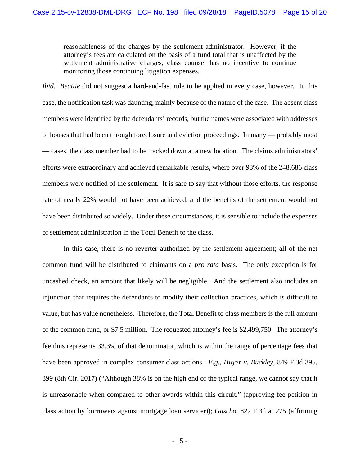reasonableness of the charges by the settlement administrator. However, if the attorney's fees are calculated on the basis of a fund total that is unaffected by the settlement administrative charges, class counsel has no incentive to continue monitoring those continuing litigation expenses.

*Ibid. Beattie* did not suggest a hard-and-fast rule to be applied in every case, however. In this case, the notification task was daunting, mainly because of the nature of the case. The absent class members were identified by the defendants' records, but the names were associated with addresses of houses that had been through foreclosure and eviction proceedings. In many — probably most — cases, the class member had to be tracked down at a new location. The claims administrators' efforts were extraordinary and achieved remarkable results, where over 93% of the 248,686 class members were notified of the settlement. It is safe to say that without those efforts, the response rate of nearly 22% would not have been achieved, and the benefits of the settlement would not have been distributed so widely. Under these circumstances, it is sensible to include the expenses of settlement administration in the Total Benefit to the class.

 In this case, there is no reverter authorized by the settlement agreement; all of the net common fund will be distributed to claimants on a *pro rata* basis. The only exception is for uncashed check, an amount that likely will be negligible. And the settlement also includes an injunction that requires the defendants to modify their collection practices, which is difficult to value, but has value nonetheless. Therefore, the Total Benefit to class members is the full amount of the common fund, or \$7.5 million. The requested attorney's fee is \$2,499,750. The attorney's fee thus represents 33.3% of that denominator, which is within the range of percentage fees that have been approved in complex consumer class actions. *E.g.*, *Huyer v. Buckley*, 849 F.3d 395, 399 (8th Cir. 2017) ("Although 38% is on the high end of the typical range, we cannot say that it is unreasonable when compared to other awards within this circuit." (approving fee petition in class action by borrowers against mortgage loan servicer)); *Gascho*, 822 F.3d at 275 (affirming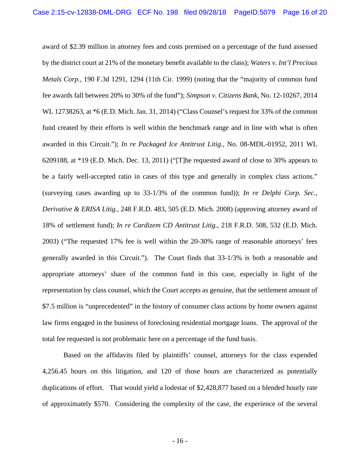award of \$2.39 million in attorney fees and costs premised on a percentage of the fund assessed by the district court at 21% of the monetary benefit available to the class); *Waters v. Int'l Precious Metals Corp.*, 190 F.3d 1291, 1294 (11th Cir. 1999) (noting that the "majority of common fund fee awards fall between 20% to 30% of the fund"); *Simpson v. Citizens Bank*, No. 12-10267, 2014 WL 12738263, at \*6 (E.D. Mich. Jan. 31, 2014) ("Class Counsel's request for 33% of the common fund created by their efforts is well within the benchmark range and in line with what is often awarded in this Circuit."); *In re Packaged Ice Antitrust Litig.*, No. 08-MDL-01952, 2011 WL 6209188, at \*19 (E.D. Mich. Dec. 13, 2011) ("[T]he requested award of close to 30% appears to be a fairly well-accepted ratio in cases of this type and generally in complex class actions." (surveying cases awarding up to 33-1/3% of the common fund)); *In re Delphi Corp. Sec., Derivative & ERISA Litig.*, 248 F.R.D. 483, 505 (E.D. Mich. 2008) (approving attorney award of 18% of settlement fund); *In re Cardizem CD Antitrust Litig.*, 218 F.R.D. 508, 532 (E.D. Mich. 2003) ("The requested 17% fee is well within the 20-30% range of reasonable attorneys' fees generally awarded in this Circuit."). The Court finds that 33-1/3% is both a reasonable and appropriate attorneys' share of the common fund in this case, especially in light of the representation by class counsel, which the Court accepts as genuine, that the settlement amount of \$7.5 million is "unprecedented" in the history of consumer class actions by home owners against law firms engaged in the business of foreclosing residential mortgage loans. The approval of the total fee requested is not problematic here on a percentage of the fund basis.

 Based on the affidavits filed by plaintiffs' counsel, attorneys for the class expended 4,256.45 hours on this litigation, and 120 of those hours are characterized as potentially duplications of effort. That would yield a lodestar of \$2,428,877 based on a blended hourly rate of approximately \$570. Considering the complexity of the case, the experience of the several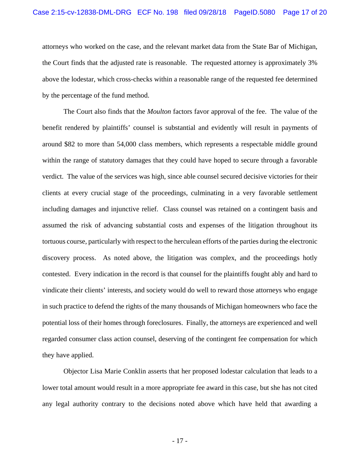attorneys who worked on the case, and the relevant market data from the State Bar of Michigan, the Court finds that the adjusted rate is reasonable. The requested attorney is approximately 3% above the lodestar, which cross-checks within a reasonable range of the requested fee determined by the percentage of the fund method.

 The Court also finds that the *Moulton* factors favor approval of the fee. The value of the benefit rendered by plaintiffs' counsel is substantial and evidently will result in payments of around \$82 to more than 54,000 class members, which represents a respectable middle ground within the range of statutory damages that they could have hoped to secure through a favorable verdict. The value of the services was high, since able counsel secured decisive victories for their clients at every crucial stage of the proceedings, culminating in a very favorable settlement including damages and injunctive relief. Class counsel was retained on a contingent basis and assumed the risk of advancing substantial costs and expenses of the litigation throughout its tortuous course, particularly with respect to the herculean efforts of the parties during the electronic discovery process. As noted above, the litigation was complex, and the proceedings hotly contested. Every indication in the record is that counsel for the plaintiffs fought ably and hard to vindicate their clients' interests, and society would do well to reward those attorneys who engage in such practice to defend the rights of the many thousands of Michigan homeowners who face the potential loss of their homes through foreclosures. Finally, the attorneys are experienced and well regarded consumer class action counsel, deserving of the contingent fee compensation for which they have applied.

 Objector Lisa Marie Conklin asserts that her proposed lodestar calculation that leads to a lower total amount would result in a more appropriate fee award in this case, but she has not cited any legal authority contrary to the decisions noted above which have held that awarding a

- 17 -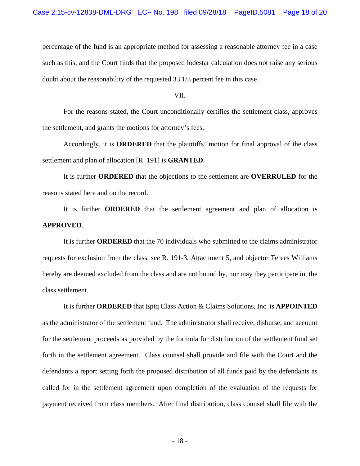percentage of the fund is an appropriate method for assessing a reasonable attorney fee in a case such as this, and the Court finds that the proposed lodestar calculation does not raise any serious doubt about the reasonability of the requested 33 1/3 percent fee in this case.

VII.

 For the reasons stated, the Court unconditionally certifies the settlement class, approves the settlement, and grants the motions for attorney's fees.

 Accordingly, it is **ORDERED** that the plaintiffs' motion for final approval of the class settlement and plan of allocation [R. 191] is **GRANTED**.

 It is further **ORDERED** that the objections to the settlement are **OVERRULED** for the reasons stated here and on the record.

 It is further **ORDERED** that the settlement agreement and plan of allocation is **APPROVED**.

 It is further **ORDERED** that the 70 individuals who submitted to the claims administrator requests for exclusion from the class, *see* R. 191-3, Attachment 5, and objector Terees Williams hereby are deemed excluded from the class and are not bound by, nor may they participate in, the class settlement.

 It is further **ORDERED** that Epiq Class Action & Claims Solutions, Inc. is **APPOINTED** as the administrator of the settlement fund. The administrator shall receive, disburse, and account for the settlement proceeds as provided by the formula for distribution of the settlement fund set forth in the settlement agreement. Class counsel shall provide and file with the Court and the defendants a report setting forth the proposed distribution of all funds paid by the defendants as called for in the settlement agreement upon completion of the evaluation of the requests for payment received from class members. After final distribution, class counsel shall file with the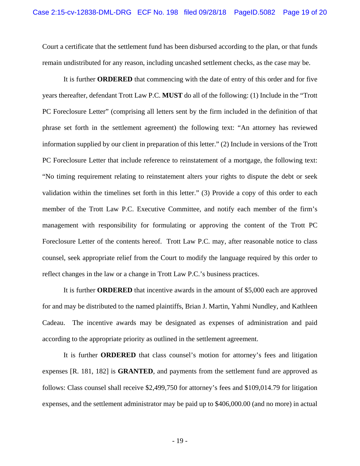Court a certificate that the settlement fund has been disbursed according to the plan, or that funds remain undistributed for any reason, including uncashed settlement checks, as the case may be.

 It is further **ORDERED** that commencing with the date of entry of this order and for five years thereafter, defendant Trott Law P.C. **MUST** do all of the following: (1) Include in the "Trott PC Foreclosure Letter" (comprising all letters sent by the firm included in the definition of that phrase set forth in the settlement agreement) the following text: "An attorney has reviewed information supplied by our client in preparation of this letter." (2) Include in versions of the Trott PC Foreclosure Letter that include reference to reinstatement of a mortgage, the following text: "No timing requirement relating to reinstatement alters your rights to dispute the debt or seek validation within the timelines set forth in this letter." (3) Provide a copy of this order to each member of the Trott Law P.C. Executive Committee, and notify each member of the firm's management with responsibility for formulating or approving the content of the Trott PC Foreclosure Letter of the contents hereof. Trott Law P.C. may, after reasonable notice to class counsel, seek appropriate relief from the Court to modify the language required by this order to reflect changes in the law or a change in Trott Law P.C.'s business practices.

 It is further **ORDERED** that incentive awards in the amount of \$5,000 each are approved for and may be distributed to the named plaintiffs, Brian J. Martin, Yahmi Nundley, and Kathleen Cadeau. The incentive awards may be designated as expenses of administration and paid according to the appropriate priority as outlined in the settlement agreement.

 It is further **ORDERED** that class counsel's motion for attorney's fees and litigation expenses [R. 181, 182] is **GRANTED**, and payments from the settlement fund are approved as follows: Class counsel shall receive \$2,499,750 for attorney's fees and \$109,014.79 for litigation expenses, and the settlement administrator may be paid up to \$406,000.00 (and no more) in actual